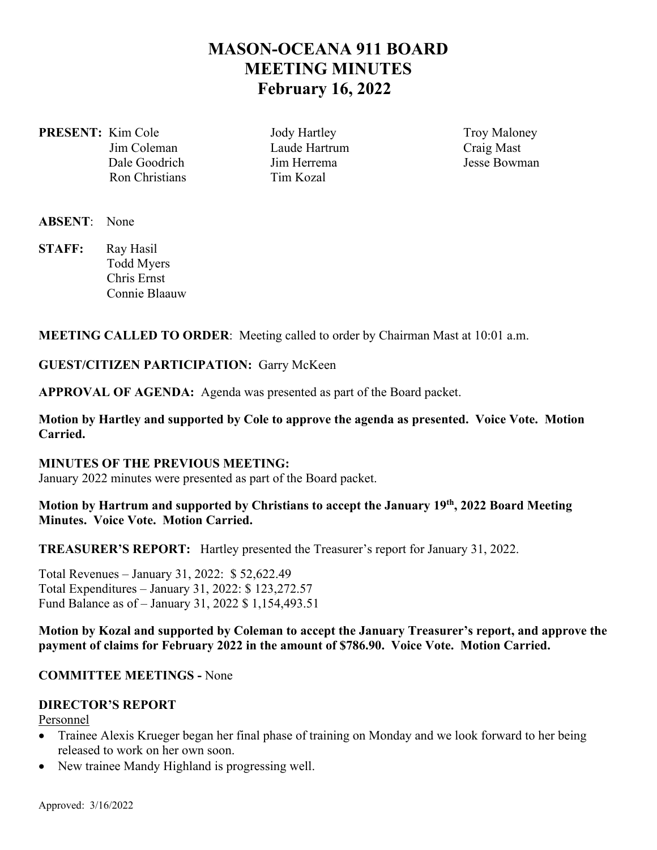# **MASON-OCEANA 911 BOARD MEETING MINUTES February 16, 2022**

**PRESENT:** Kim Cole **Jody Hartley** Troy Maloney Ron Christians Tim Kozal

 Jim Coleman Laude Hartrum Craig Mast Dale Goodrich Jim Herrema Jesse Bowman

- **ABSENT**: None
- **STAFF:** Ray Hasil Todd Myers Chris Ernst Connie Blaauw

**MEETING CALLED TO ORDER**: Meeting called to order by Chairman Mast at 10:01 a.m.

**GUEST/CITIZEN PARTICIPATION:** Garry McKeen

**APPROVAL OF AGENDA:** Agenda was presented as part of the Board packet.

**Motion by Hartley and supported by Cole to approve the agenda as presented. Voice Vote. Motion Carried.** 

#### **MINUTES OF THE PREVIOUS MEETING:**

January 2022 minutes were presented as part of the Board packet.

## **Motion by Hartrum and supported by Christians to accept the January 19th, 2022 Board Meeting Minutes. Voice Vote. Motion Carried.**

**TREASURER'S REPORT:** Hartley presented the Treasurer's report for January 31, 2022.

Total Revenues – January 31, 2022: \$ 52,622.49 Total Expenditures – January 31, 2022: \$ 123,272.57 Fund Balance as of – January 31, 2022 \$ 1,154,493.51

**Motion by Kozal and supported by Coleman to accept the January Treasurer's report, and approve the payment of claims for February 2022 in the amount of \$786.90. Voice Vote. Motion Carried.** 

## **COMMITTEE MEETINGS -** None

#### **DIRECTOR'S REPORT**

Personnel

- Trainee Alexis Krueger began her final phase of training on Monday and we look forward to her being released to work on her own soon.
- New trainee Mandy Highland is progressing well.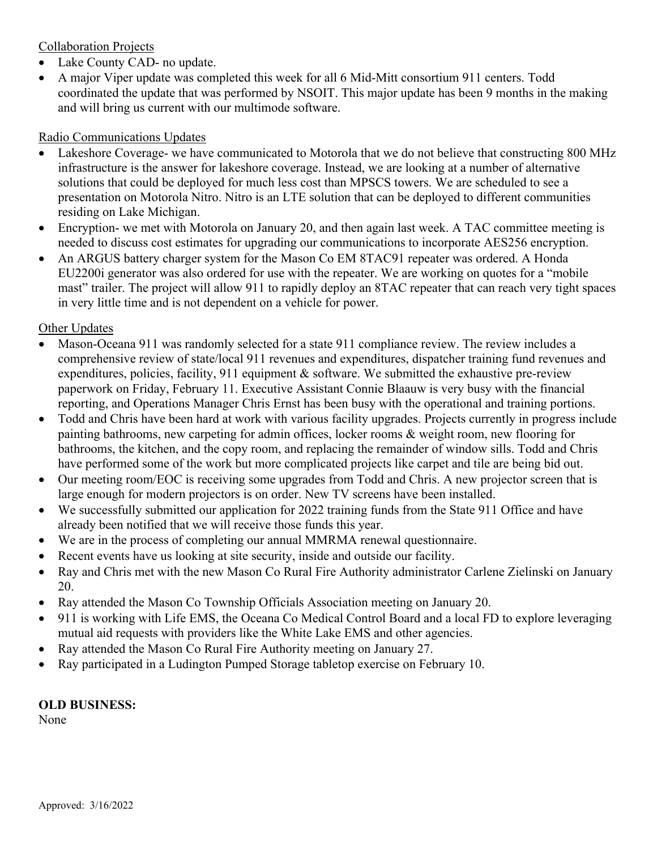## Collaboration Projects

- Lake County CAD- no update.
- A major Viper update was completed this week for all 6 Mid-Mitt consortium 911 centers. Todd coordinated the update that was performed by NSOIT. This major update has been 9 months in the making and will bring us current with our multimode software.

## Radio Communications Updates

- Lakeshore Coverage- we have communicated to Motorola that we do not believe that constructing 800 MHz infrastructure is the answer for lakeshore coverage. Instead, we are looking at a number of alternative solutions that could be deployed for much less cost than MPSCS towers. We are scheduled to see a presentation on Motorola Nitro. Nitro is an LTE solution that can be deployed to different communities residing on Lake Michigan.
- Encryption- we met with Motorola on January 20, and then again last week. A TAC committee meeting is needed to discuss cost estimates for upgrading our communications to incorporate AES256 encryption.
- An ARGUS battery charger system for the Mason Co EM 8TAC91 repeater was ordered. A Honda EU2200i generator was also ordered for use with the repeater. We are working on quotes for a "mobile mast" trailer. The project will allow 911 to rapidly deploy an 8TAC repeater that can reach very tight spaces in very little time and is not dependent on a vehicle for power.

## Other Updates

- Mason-Oceana 911 was randomly selected for a state 911 compliance review. The review includes a comprehensive review of state/local 911 revenues and expenditures, dispatcher training fund revenues and expenditures, policies, facility, 911 equipment  $\&$  software. We submitted the exhaustive pre-review paperwork on Friday, February 11. Executive Assistant Connie Blaauw is very busy with the financial reporting, and Operations Manager Chris Ernst has been busy with the operational and training portions.
- Todd and Chris have been hard at work with various facility upgrades. Projects currently in progress include painting bathrooms, new carpeting for admin offices, locker rooms & weight room, new flooring for bathrooms, the kitchen, and the copy room, and replacing the remainder of window sills. Todd and Chris have performed some of the work but more complicated projects like carpet and tile are being bid out.
- Our meeting room/EOC is receiving some upgrades from Todd and Chris. A new projector screen that is large enough for modern projectors is on order. New TV screens have been installed.
- We successfully submitted our application for 2022 training funds from the State 911 Office and have already been notified that we will receive those funds this year.
- We are in the process of completing our annual MMRMA renewal questionnaire.
- Recent events have us looking at site security, inside and outside our facility.
- Ray and Chris met with the new Mason Co Rural Fire Authority administrator Carlene Zielinski on January 20.
- Ray attended the Mason Co Township Officials Association meeting on January 20.
- 911 is working with Life EMS, the Oceana Co Medical Control Board and a local FD to explore leveraging mutual aid requests with providers like the White Lake EMS and other agencies.
- Ray attended the Mason Co Rural Fire Authority meeting on January 27.
- Ray participated in a Ludington Pumped Storage tabletop exercise on February 10.

## **OLD BUSINESS:**

None